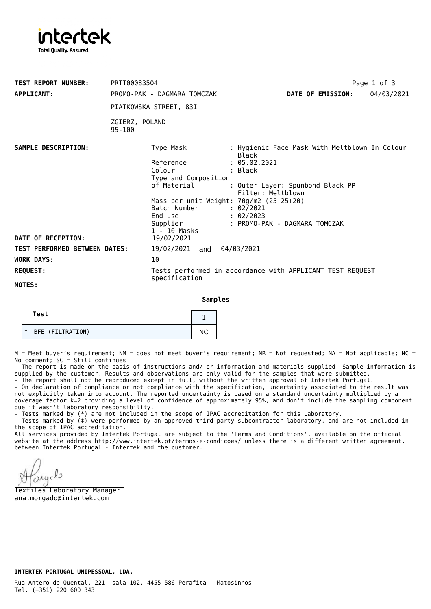

| <b>TEST REPORT NUMBER:</b>           | PRTT00083504                 |                                                                            |                                                        |  |                   | Page 1 of 3 |  |
|--------------------------------------|------------------------------|----------------------------------------------------------------------------|--------------------------------------------------------|--|-------------------|-------------|--|
| <b>APPLICANT:</b>                    |                              | PROMO-PAK - DAGMARA TOMCZAK                                                |                                                        |  | DATE OF EMISSION: | 04/03/2021  |  |
|                                      | PIATKOWSKA STREET, 83I       |                                                                            |                                                        |  |                   |             |  |
|                                      | ZGIERZ, POLAND<br>$95 - 100$ |                                                                            |                                                        |  |                   |             |  |
| SAMPLE DESCRIPTION:                  |                              | Type Mask                                                                  | : Hygienic Face Mask With Meltblown In Colour<br>Black |  |                   |             |  |
|                                      |                              | Reference                                                                  | : 05.02.2021                                           |  |                   |             |  |
|                                      |                              | Colour                                                                     | : Black                                                |  |                   |             |  |
|                                      |                              | Type and Composition                                                       |                                                        |  |                   |             |  |
|                                      |                              | of Material                                                                | : Outer Layer: Spunbond Black PP<br>Filter: Meltblown  |  |                   |             |  |
|                                      |                              | Mass per unit Weight: 70g/m2 (25+25+20)                                    |                                                        |  |                   |             |  |
|                                      |                              | Batch Number                                                               | : 02/2021                                              |  |                   |             |  |
|                                      |                              | End use                                                                    | : 02/2023                                              |  |                   |             |  |
|                                      |                              | Supplier                                                                   | : PROMO-PAK - DAGMARA TOMCZAK                          |  |                   |             |  |
|                                      |                              | 1 - 10 Masks                                                               |                                                        |  |                   |             |  |
| DATE OF RECEPTION:                   |                              | 19/02/2021                                                                 |                                                        |  |                   |             |  |
| <b>TEST PERFORMED BETWEEN DATES:</b> |                              | 19/02/2021 and 04/03/2021                                                  |                                                        |  |                   |             |  |
| <b>WORK DAYS:</b>                    | 10                           |                                                                            |                                                        |  |                   |             |  |
| <b>REQUEST:</b>                      |                              | Tests performed in accordance with APPLICANT TEST REQUEST<br>specification |                                                        |  |                   |             |  |
| NOTES:                               |                              |                                                                            |                                                        |  |                   |             |  |

**Samples**

| Test  |                  |           |  |
|-------|------------------|-----------|--|
| $\pm$ | BFE (FILTRATION) | <b>NC</b> |  |

 $M =$  Meet buyer's requirement; NM = does not meet buyer's requirement; NR = Not requested; NA = Not applicable; NC = No comment; SC = Still continues

- The report is made on the basis of instructions and/ or information and materials supplied. Sample information is supplied by the customer. Results and observations are only valid for the samples that were submitted.

- The report shall not be reproduced except in full, without the written approval of Intertek Portugal.

- On declaration of compliance or not compliance with the specification, uncertainty associated to the result was not explicitly taken into account. The reported uncertainty is based on a standard uncertainty multiplied by a coverage factor k=2 providing a level of confidence of approximately 95%, and don't include the sampling component due it wasn't laboratory responsibility.

- Tests marked by (\*) are not included in the scope of IPAC accreditation for this Laboratory.

- Tests marked by (‡) were performed by an approved third-party subcontractor laboratory, and are not included in the scope of IPAC accreditation.

All services provided by Intertek Portugal are subject to the 'Terms and Conditions', available on the official website at the address <http://www.intertek.pt/termos-e-condicoes/> unless there is a different written agreement, between Intertek Portugal - Intertek and the customer.

 $O<sub>Agc</sub>$ 

Textiles Laboratory Manager ana.morgado@intertek.com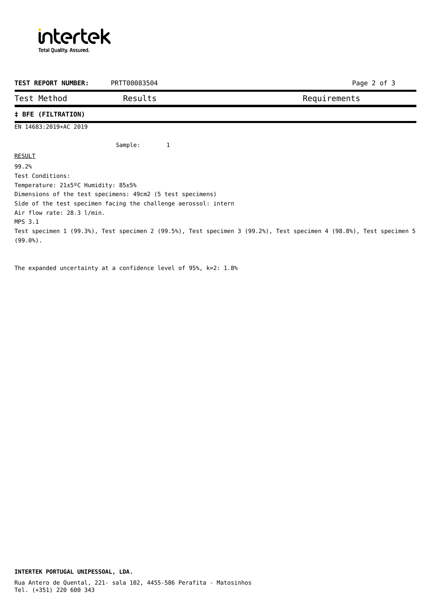

| <b>TEST REPORT NUMBER:</b>                                                                                          | PRTT00083504 |   |  |  |              | Page 2 of 3 |  |  |  |  |
|---------------------------------------------------------------------------------------------------------------------|--------------|---|--|--|--------------|-------------|--|--|--|--|
| Test Method                                                                                                         | Results      |   |  |  | Requirements |             |  |  |  |  |
| <b>‡ BFE (FILTRATION)</b>                                                                                           |              |   |  |  |              |             |  |  |  |  |
| EN 14683:2019+AC 2019                                                                                               |              |   |  |  |              |             |  |  |  |  |
|                                                                                                                     | Sample:      | 1 |  |  |              |             |  |  |  |  |
| <b>RESULT</b>                                                                                                       |              |   |  |  |              |             |  |  |  |  |
| 99.2%                                                                                                               |              |   |  |  |              |             |  |  |  |  |
| Test Conditions:                                                                                                    |              |   |  |  |              |             |  |  |  |  |
| Temperature: $21\pm5\degree$ C Humidity: 85 $\pm5\degree$                                                           |              |   |  |  |              |             |  |  |  |  |
| Dimensions of the test specimens: 49cm2 (5 test specimens)                                                          |              |   |  |  |              |             |  |  |  |  |
| Side of the test specimen facing the challenge aerossol: intern                                                     |              |   |  |  |              |             |  |  |  |  |
| Air flow rate: 28.3 l/min.                                                                                          |              |   |  |  |              |             |  |  |  |  |
| MPS 3.1                                                                                                             |              |   |  |  |              |             |  |  |  |  |
| Test specimen 1 (99.3%), Test specimen 2 (99.5%), Test specimen 3 (99.2%), Test specimen 4 (98.8%), Test specimen 5 |              |   |  |  |              |             |  |  |  |  |
| $(99.0\%)$ .                                                                                                        |              |   |  |  |              |             |  |  |  |  |

The expanded uncertainty at a confidence level of 95%, k=2: 1.8%